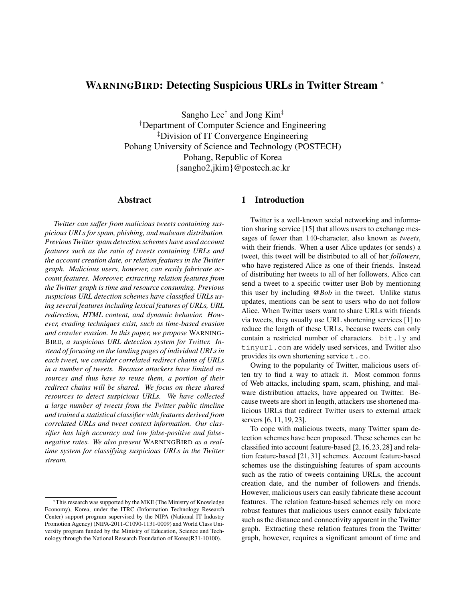# WARNINGBIRD: Detecting Suspicious URLs in Twitter Stream <sup>∗</sup>

Sangho Lee $^{\dagger}$  and Jong Kim $^{\ddagger}$ †Department of Computer Science and Engineering ‡Division of IT Convergence Engineering Pohang University of Science and Technology (POSTECH) Pohang, Republic of Korea {sangho2,jkim}@postech.ac.kr

### Abstract

*Twitter can suffer from malicious tweets containing suspicious URLs for spam, phishing, and malware distribution. Previous Twitter spam detection schemes have used account features such as the ratio of tweets containing URLs and the account creation date, or relation features in the Twitter graph. Malicious users, however, can easily fabricate account features. Moreover, extracting relation features from the Twitter graph is time and resource consuming. Previous suspicious URL detection schemes have classified URLs using several features including lexical features of URLs, URL redirection, HTML content, and dynamic behavior. However, evading techniques exist, such as time-based evasion and crawler evasion. In this paper, we propose* WARNING-BIRD*, a suspicious URL detection system for Twitter. Instead of focusing on the landing pages of individual URLs in each tweet, we consider correlated redirect chains of URLs in a number of tweets. Because attackers have limited resources and thus have to reuse them, a portion of their redirect chains will be shared. We focus on these shared resources to detect suspicious URLs. We have collected a large number of tweets from the Twitter public timeline and trained a statistical classifier with features derived from correlated URLs and tweet context information. Our classifier has high accuracy and low false-positive and falsenegative rates. We also present* WARNINGBIRD *as a realtime system for classifying suspicious URLs in the Twitter stream.*

## 1 Introduction

Twitter is a well-known social networking and information sharing service [15] that allows users to exchange messages of fewer than 140-character, also known as *tweets*, with their friends. When a user Alice updates (or sends) a tweet, this tweet will be distributed to all of her *followers*, who have registered Alice as one of their friends. Instead of distributing her tweets to all of her followers, Alice can send a tweet to a specific twitter user Bob by mentioning this user by including *@Bob* in the tweet. Unlike status updates, mentions can be sent to users who do not follow Alice. When Twitter users want to share URLs with friends via tweets, they usually use URL shortening services [1] to reduce the length of these URLs, because tweets can only contain a restricted number of characters. bit.ly and tinyurl.com are widely used services, and Twitter also provides its own shortening service  $t \cdot \text{co}$ .

Owing to the popularity of Twitter, malicious users often try to find a way to attack it. Most common forms of Web attacks, including spam, scam, phishing, and malware distribution attacks, have appeared on Twitter. Because tweets are short in length, attackers use shortened malicious URLs that redirect Twitter users to external attack servers [6, 11, 19, 23].

To cope with malicious tweets, many Twitter spam detection schemes have been proposed. These schemes can be classified into account feature-based [2, 16, 23, 28] and relation feature-based [21, 31] schemes. Account feature-based schemes use the distinguishing features of spam accounts such as the ratio of tweets containing URLs, the account creation date, and the number of followers and friends. However, malicious users can easily fabricate these account features. The relation feature-based schemes rely on more robust features that malicious users cannot easily fabricate such as the distance and connectivity apparent in the Twitter graph. Extracting these relation features from the Twitter graph, however, requires a significant amount of time and

<sup>∗</sup>This research was supported by the MKE (The Ministry of Knowledge Economy), Korea, under the ITRC (Information Technology Research Center) support program supervised by the NIPA (National IT Industry Promotion Agency) (NIPA-2011-C1090-1131-0009) and World Class University program funded by the Ministry of Education, Science and Technology through the National Research Foundation of Korea(R31-10100).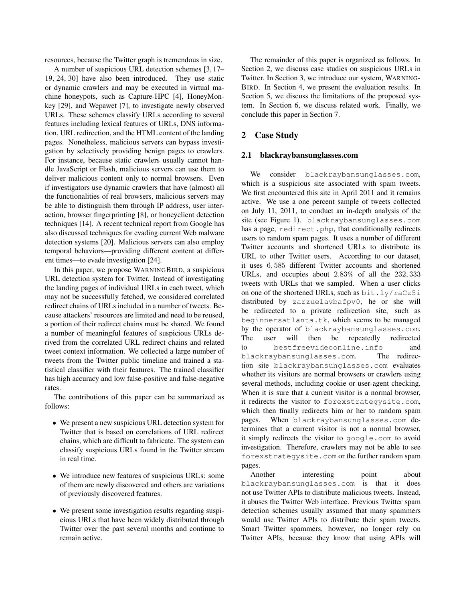resources, because the Twitter graph is tremendous in size.

A number of suspicious URL detection schemes [3, 17– 19, 24, 30] have also been introduced. They use static or dynamic crawlers and may be executed in virtual machine honeypots, such as Capture-HPC [4], HoneyMonkey [29], and Wepawet [7], to investigate newly observed URLs. These schemes classify URLs according to several features including lexical features of URLs, DNS information, URL redirection, and the HTML content of the landing pages. Nonetheless, malicious servers can bypass investigation by selectively providing benign pages to crawlers. For instance, because static crawlers usually cannot handle JavaScript or Flash, malicious servers can use them to deliver malicious content only to normal browsers. Even if investigators use dynamic crawlers that have (almost) all the functionalities of real browsers, malicious servers may be able to distinguish them through IP address, user interaction, browser fingerprinting [8], or honeyclient detection techniques [14]. A recent technical report from Google has also discussed techniques for evading current Web malware detection systems [20]. Malicious servers can also employ temporal behaviors—providing different content at different times—to evade investigation [24].

In this paper, we propose WARNINGBIRD, a suspicious URL detection system for Twitter. Instead of investigating the landing pages of individual URLs in each tweet, which may not be successfully fetched, we considered correlated redirect chains of URLs included in a number of tweets. Because attackers' resources are limited and need to be reused, a portion of their redirect chains must be shared. We found a number of meaningful features of suspicious URLs derived from the correlated URL redirect chains and related tweet context information. We collected a large number of tweets from the Twitter public timeline and trained a statistical classifier with their features. The trained classifier has high accuracy and low false-positive and false-negative rates.

The contributions of this paper can be summarized as follows:

- We present a new suspicious URL detection system for Twitter that is based on correlations of URL redirect chains, which are difficult to fabricate. The system can classify suspicious URLs found in the Twitter stream in real time.
- We introduce new features of suspicious URLs: some of them are newly discovered and others are variations of previously discovered features.
- We present some investigation results regarding suspicious URLs that have been widely distributed through Twitter over the past several months and continue to remain active.

The remainder of this paper is organized as follows. In Section 2, we discuss case studies on suspicious URLs in Twitter. In Section 3, we introduce our system, WARNING-BIRD. In Section 4, we present the evaluation results. In Section 5, we discuss the limitations of the proposed system. In Section 6, we discuss related work. Finally, we conclude this paper in Section 7.

## 2 Case Study

#### 2.1 blackraybansunglasses.com

consider blackraybansunglasses.com, which is a suspicious site associated with spam tweets. We first encountered this site in April 2011 and it remains active. We use a one percent sample of tweets collected on July 11, 2011, to conduct an in-depth analysis of the site (see Figure 1). blackraybansunglasses.com has a page, redirect.php, that conditionally redirects users to random spam pages. It uses a number of different Twitter accounts and shortened URLs to distribute its URL to other Twitter users. According to our dataset, it uses 6, 585 different Twitter accounts and shortened URLs, and occupies about 2.83% of all the 232, 333 tweets with URLs that we sampled. When a user clicks on one of the shortened URLs, such as bit.ly/raCz5i distributed by zarzuelavbafpv0, he or she will be redirected to a private redirection site, such as beginnersatlanta.tk, which seems to be managed by the operator of blackraybansunglasses.com. The user will then be repeatedly redirected to bestfreevideoonline.info and blackraybansunglasses.com. The redirection site blackraybansunglasses.com evaluates whether its visitors are normal browsers or crawlers using several methods, including cookie or user-agent checking. When it is sure that a current visitor is a normal browser, it redirects the visitor to forexstrategysite.com, which then finally redirects him or her to random spam pages. When blackraybansunglasses.com determines that a current visitor is not a normal browser, it simply redirects the visitor to google.com to avoid investigation. Therefore, crawlers may not be able to see forexstrategysite.com or the further random spam pages.

Another interesting point about blackraybansunglasses.com is that it does not use Twitter APIs to distribute malicious tweets. Instead, it abuses the Twitter Web interface. Previous Twitter spam detection schemes usually assumed that many spammers would use Twitter APIs to distribute their spam tweets. Smart Twitter spammers, however, no longer rely on Twitter APIs, because they know that using APIs will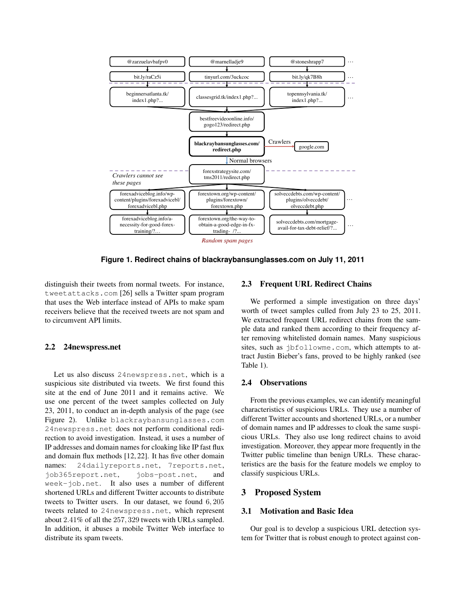

**Figure 1. Redirect chains of blackraybansunglasses.com on July 11, 2011**

distinguish their tweets from normal tweets. For instance, tweetattacks.com [26] sells a Twitter spam program that uses the Web interface instead of APIs to make spam receivers believe that the received tweets are not spam and to circumvent API limits.

#### 2.2 24newspress.net

Let us also discuss 24newspress.net, which is a suspicious site distributed via tweets. We first found this site at the end of June 2011 and it remains active. We use one percent of the tweet samples collected on July 23, 2011, to conduct an in-depth analysis of the page (see Figure 2). Unlike blackraybansunglasses.com 24newspress.net does not perform conditional redirection to avoid investigation. Instead, it uses a number of IP addresses and domain names for cloaking like IP fast flux and domain flux methods [12, 22]. It has five other domain names: 24dailyreports.net, 7reports.net, job365report.net, jobs-post.net, and week-job.net. It also uses a number of different shortened URLs and different Twitter accounts to distribute tweets to Twitter users. In our dataset, we found 6, 205 tweets related to 24newspress.net, which represent about 2.41% of all the 257, 329 tweets with URLs sampled. In addition, it abuses a mobile Twitter Web interface to distribute its spam tweets.

## 2.3 Frequent URL Redirect Chains

We performed a simple investigation on three days' worth of tweet samples culled from July 23 to 25, 2011. We extracted frequent URL redirect chains from the sample data and ranked them according to their frequency after removing whitelisted domain names. Many suspicious sites, such as jbfollowme.com, which attempts to attract Justin Bieber's fans, proved to be highly ranked (see Table 1).

#### 2.4 Observations

From the previous examples, we can identify meaningful characteristics of suspicious URLs. They use a number of different Twitter accounts and shortened URLs, or a number of domain names and IP addresses to cloak the same suspicious URLs. They also use long redirect chains to avoid investigation. Moreover, they appear more frequently in the Twitter public timeline than benign URLs. These characteristics are the basis for the feature models we employ to classify suspicious URLs.

## 3 Proposed System

## 3.1 Motivation and Basic Idea

Our goal is to develop a suspicious URL detection system for Twitter that is robust enough to protect against con-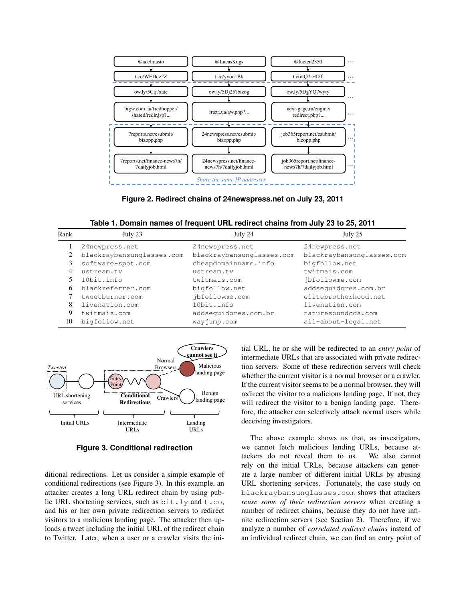

**Figure 2. Redirect chains of 24newspress.net on July 23, 2011**

**Table 1. Domain names of frequent URL redirect chains from July 23 to 25, 2011**

| Rank | July 23                   | July 24                   | July 25                   |
|------|---------------------------|---------------------------|---------------------------|
|      | 24newpress.net            | 24newspress.net           | 24newpress.net            |
|      | blackraybansunglasses.com | blackraybansunglasses.com | blackraybansunglasses.com |
| 3    | software-spot.com         | cheapdomainname.info      | bigfollow.net             |
| 4    | ustream.tv                | ustream.tv                | twitmais.com              |
|      | 10bit.info                | twitmais.com              | jbfollowme.com            |
| 6    | blackreferrer.com         | bigfollow.net             | addsequidores.com.br      |
|      | tweetburner.com           | jbfollowme.com            | elitebrotherhood.net      |
| 8    | livenation.com            | 10bit.info                | livenation.com            |
| 9    | twitmais.com              | addsequidores.com.br      | naturesoundcds.com        |
| 10   | bigfollow.net             | wayjump.com               | all-about-legal.net       |



**Figure 3. Conditional redirection**

ditional redirections. Let us consider a simple example of conditional redirections (see Figure 3). In this example, an attacker creates a long URL redirect chain by using public URL shortening services, such as bit.ly and t.co, and his or her own private redirection servers to redirect visitors to a malicious landing page. The attacker then uploads a tweet including the initial URL of the redirect chain to Twitter. Later, when a user or a crawler visits the initial URL, he or she will be redirected to an *entry point* of intermediate URLs that are associated with private redirection servers. Some of these redirection servers will check whether the current visitor is a normal browser or a crawler. If the current visitor seems to be a normal browser, they will redirect the visitor to a malicious landing page. If not, they will redirect the visitor to a benign landing page. Therefore, the attacker can selectively attack normal users while deceiving investigators.

The above example shows us that, as investigators, we cannot fetch malicious landing URLs, because attackers do not reveal them to us. We also cannot rely on the initial URLs, because attackers can generate a large number of different initial URLs by abusing URL shortening services. Fortunately, the case study on blackraybansunglasses.com shows that attackers *reuse some of their redirection servers* when creating a number of redirect chains, because they do not have infinite redirection servers (see Section 2). Therefore, if we analyze a number of *correlated redirect chains* instead of an individual redirect chain, we can find an entry point of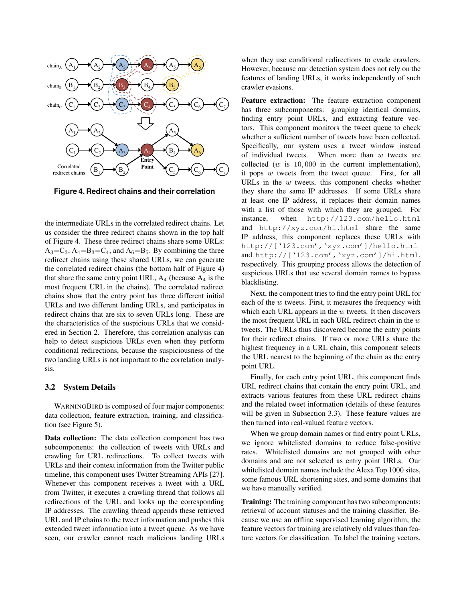

**Figure 4. Redirect chains and their correlation**

the intermediate URLs in the correlated redirect chains. Let us consider the three redirect chains shown in the top half of Figure 4. These three redirect chains share some URLs:  $A_3 = C_3$ ,  $A_4 = B_3 = C_4$ , and  $A_6 = B_5$ . By combining the three redirect chains using these shared URLs, we can generate the correlated redirect chains (the bottom half of Figure 4) that share the same entry point URL,  $A_4$  (because  $A_4$  is the most frequent URL in the chains). The correlated redirect chains show that the entry point has three different initial URLs and two different landing URLs, and participates in redirect chains that are six to seven URLs long. These are the characteristics of the suspicious URLs that we considered in Section 2. Therefore, this correlation analysis can help to detect suspicious URLs even when they perform conditional redirections, because the suspiciousness of the two landing URLs is not important to the correlation analysis.

#### 3.2 System Details

WARNINGBIRD is composed of four major components: data collection, feature extraction, training, and classification (see Figure 5).

Data collection: The data collection component has two subcomponents: the collection of tweets with URLs and crawling for URL redirections. To collect tweets with URLs and their context information from the Twitter public timeline, this component uses Twitter Streaming APIs [27]. Whenever this component receives a tweet with a URL from Twitter, it executes a crawling thread that follows all redirections of the URL and looks up the corresponding IP addresses. The crawling thread appends these retrieved URL and IP chains to the tweet information and pushes this extended tweet information into a tweet queue. As we have seen, our crawler cannot reach malicious landing URLs when they use conditional redirections to evade crawlers. However, because our detection system does not rely on the features of landing URLs, it works independently of such crawler evasions.

Feature extraction: The feature extraction component has three subcomponents: grouping identical domains, finding entry point URLs, and extracting feature vectors. This component monitors the tweet queue to check whether a sufficient number of tweets have been collected. Specifically, our system uses a tweet window instead of individual tweets. When more than  $w$  tweets are collected ( $w$  is 10,000 in the current implementation), it pops  $w$  tweets from the tweet queue. First, for all URLs in the  $w$  tweets, this component checks whether they share the same IP addresses. If some URLs share at least one IP address, it replaces their domain names with a list of those with which they are grouped. For instance, when http://123.com/hello.html and http://xyz.com/hi.html share the same IP address, this component replaces these URLs with http://['123.com','xyz.com']/hello.html and http://['123.com','xyz.com']/hi.html, respectively. This grouping process allows the detection of suspicious URLs that use several domain names to bypass blacklisting.

Next, the component tries to find the entry point URL for each of the  $w$  tweets. First, it measures the frequency with which each URL appears in the  $w$  tweets. It then discovers the most frequent URL in each URL redirect chain in the  $w$ tweets. The URLs thus discovered become the entry points for their redirect chains. If two or more URLs share the highest frequency in a URL chain, this component selects the URL nearest to the beginning of the chain as the entry point URL.

Finally, for each entry point URL, this component finds URL redirect chains that contain the entry point URL, and extracts various features from these URL redirect chains and the related tweet information (details of these features will be given in Subsection 3.3). These feature values are then turned into real-valued feature vectors.

When we group domain names or find entry point URLs, we ignore whitelisted domains to reduce false-positive rates. Whitelisted domains are not grouped with other domains and are not selected as entry point URLs. Our whitelisted domain names include the Alexa Top 1000 sites, some famous URL shortening sites, and some domains that we have manually verified.

Training: The training component has two subcomponents: retrieval of account statuses and the training classifier. Because we use an offline supervised learning algorithm, the feature vectors for training are relatively old values than feature vectors for classification. To label the training vectors,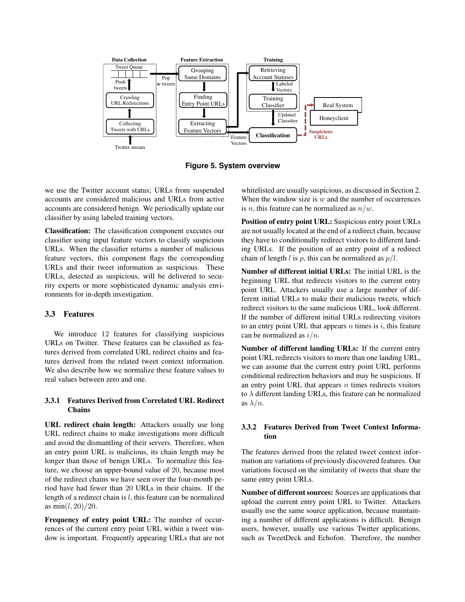

**Figure 5. System overview**

we use the Twitter account status; URLs from suspended accounts are considered malicious and URLs from active accounts are considered benign. We periodically update our classifier by using labeled training vectors.

Classification: The classification component executes our classifier using input feature vectors to classify suspicious URLs. When the classifier returns a number of malicious feature vectors, this component flags the corresponding URLs and their tweet information as suspicious. These URLs, detected as suspicious, will be delivered to security experts or more sophisticated dynamic analysis environments for in-depth investigation.

## 3.3 Features

We introduce 12 features for classifying suspicious URLs on Twitter. These features can be classified as features derived from correlated URL redirect chains and features derived from the related tweet context information. We also describe how we normalize these feature values to real values between zero and one.

### 3.3.1 Features Derived from Correlated URL Redirect **Chains**

URL redirect chain length: Attackers usually use long URL redirect chains to make investigations more difficult and avoid the dismantling of their servers. Therefore, when an entry point URL is malicious, its chain length may be longer than those of benign URLs. To normalize this feature, we choose an upper-bound value of 20, because most of the redirect chains we have seen over the four-month period have had fewer than 20 URLs in their chains. If the length of a redirect chain is  $l$ , this feature can be normalized as  $min(l, 20)/20$ .

Frequency of entry point URL: The number of occurrences of the current entry point URL within a tweet window is important. Frequently appearing URLs that are not whitelisted are usually suspicious, as discussed in Section 2. When the window size is  $w$  and the number of occurrences is *n*, this feature can be normalized as  $n/w$ .

Position of entry point URL: Suspicious entry point URLs are not usually located at the end of a redirect chain, because they have to conditionally redirect visitors to different landing URLs. If the position of an entry point of a redirect chain of length l is p, this can be normalized as  $p/l$ .

Number of different initial URLs: The initial URL is the beginning URL that redirects visitors to the current entry point URL. Attackers usually use a large number of different initial URLs to make their malicious tweets, which redirect visitors to the same malicious URL, look different. If the number of different initial URLs redirecting visitors to an entry point URL that appears  $n$  times is  $i$ , this feature can be normalized as  $i/n$ .

Number of different landing URLs: If the current entry point URL redirects visitors to more than one landing URL, we can assume that the current entry point URL performs conditional redirection behaviors and may be suspicious. If an entry point URL that appears  $n$  times redirects visitors to  $\lambda$  different landing URLs, this feature can be normalized as  $\lambda/n$ .

### 3.3.2 Features Derived from Tweet Context Information

The features derived from the related tweet context information are variations of previously discovered features. Our variations focused on the similarity of tweets that share the same entry point URLs.

Number of different sources: Sources are applications that upload the current entry point URL to Twitter. Attackers usually use the same source application, because maintaining a number of different applications is difficult. Benign users, however, usually use various Twitter applications, such as TweetDeck and Echofon. Therefore, the number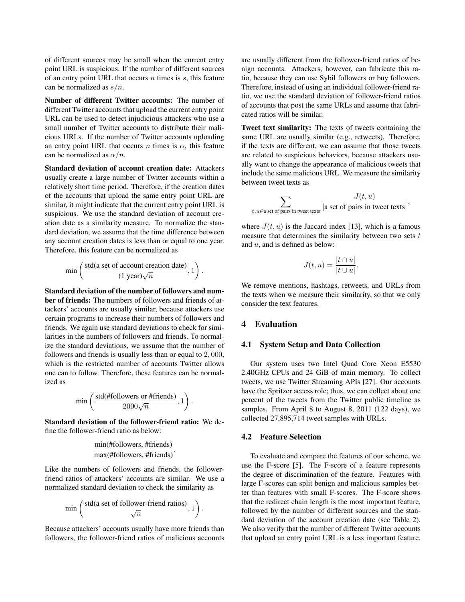of different sources may be small when the current entry point URL is suspicious. If the number of different sources of an entry point URL that occurs  $n$  times is  $s$ , this feature can be normalized as  $s/n$ .

Number of different Twitter accounts: The number of different Twitter accounts that upload the current entry point URL can be used to detect injudicious attackers who use a small number of Twitter accounts to distribute their malicious URLs. If the number of Twitter accounts uploading an entry point URL that occurs n times is  $\alpha$ , this feature can be normalized as  $\alpha/n$ .

Standard deviation of account creation date: Attackers usually create a large number of Twitter accounts within a relatively short time period. Therefore, if the creation dates of the accounts that upload the same entry point URL are similar, it might indicate that the current entry point URL is suspicious. We use the standard deviation of account creation date as a similarity measure. To normalize the standard deviation, we assume that the time difference between any account creation dates is less than or equal to one year. Therefore, this feature can be normalized as

$$
\min\left(\frac{\text{std(a set of account creation date)}}{(1 \text{ year})\sqrt{n}}, 1\right)
$$

.

Standard deviation of the number of followers and number of friends: The numbers of followers and friends of attackers' accounts are usually similar, because attackers use certain programs to increase their numbers of followers and friends. We again use standard deviations to check for similarities in the numbers of followers and friends. To normalize the standard deviations, we assume that the number of followers and friends is usually less than or equal to 2, 000, which is the restricted number of accounts Twitter allows one can to follow. Therefore, these features can be normalized as

$$
\min\left(\frac{\text{std(\#followers or \#friends)}}{2000\sqrt{n}}, 1\right).
$$

Standard deviation of the follower-friend ratio: We define the follower-friend ratio as below:

$$
\frac{\min(\#followers, \#friends)}{\max(\#followers, \#friends)}.
$$

Like the numbers of followers and friends, the followerfriend ratios of attackers' accounts are similar. We use a normalized standard deviation to check the similarity as

$$
\min\left(\frac{\text{std(a set of followed-friend ratios)}}{\sqrt{n}}, 1\right).
$$

Because attackers' accounts usually have more friends than followers, the follower-friend ratios of malicious accounts

are usually different from the follower-friend ratios of benign accounts. Attackers, however, can fabricate this ratio, because they can use Sybil followers or buy followers. Therefore, instead of using an individual follower-friend ratio, we use the standard deviation of follower-friend ratios of accounts that post the same URLs and assume that fabricated ratios will be similar.

Tweet text similarity: The texts of tweets containing the same URL are usually similar (e.g., retweets). Therefore, if the texts are different, we can assume that those tweets are related to suspicious behaviors, because attackers usually want to change the appearance of malicious tweets that include the same malicious URL. We measure the similarity between tweet texts as

$$
\sum_{t, u \in a \text{ set of pairs in tweets texts}} \frac{J(t, u)}{|a \text{ set of pairs in tweets texts}|},
$$

where  $J(t, u)$  is the Jaccard index [13], which is a famous measure that determines the similarity between two sets  $t$ and u, and is defined as below:

$$
J(t, u) = \frac{|t \cap u|}{|t \cup u|}.
$$

We remove mentions, hashtags, retweets, and URLs from the texts when we measure their similarity, so that we only consider the text features.

## 4 Evaluation

#### 4.1 System Setup and Data Collection

Our system uses two Intel Quad Core Xeon E5530 2.40GHz CPUs and 24 GiB of main memory. To collect tweets, we use Twitter Streaming APIs [27]. Our accounts have the Spritzer access role; thus, we can collect about one percent of the tweets from the Twitter public timeline as samples. From April 8 to August 8, 2011 (122 days), we collected 27,895,714 tweet samples with URLs.

#### 4.2 Feature Selection

To evaluate and compare the features of our scheme, we use the F-score [5]. The F-score of a feature represents the degree of discrimination of the feature. Features with large F-scores can split benign and malicious samples better than features with small F-scores. The F-score shows that the redirect chain length is the most important feature, followed by the number of different sources and the standard deviation of the account creation date (see Table 2). We also verify that the number of different Twitter accounts that upload an entry point URL is a less important feature.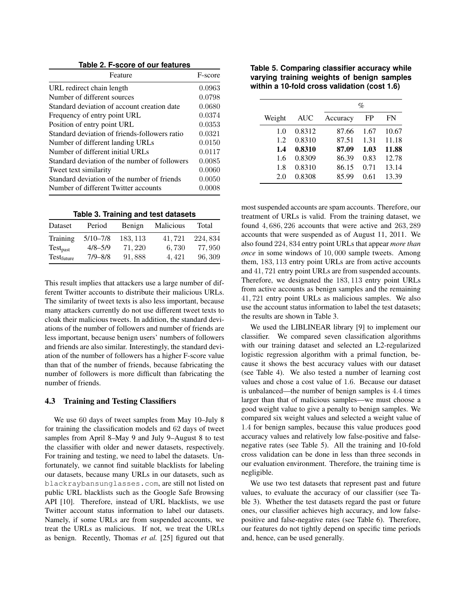**Table 2. F-score of our features**

| Feature                                       | F-score |
|-----------------------------------------------|---------|
| URL redirect chain length                     | 0.0963  |
| Number of different sources                   | 0.0798  |
| Standard deviation of account creation date   | 0.0680  |
| Frequency of entry point URL                  | 0.0374  |
| Position of entry point URL                   | 0.0353  |
| Standard deviation of friends-followers ratio | 0.0321  |
| Number of different landing URLs              | 0.0150  |
| Number of different initial URLs              | 0.0117  |
| Standard deviation of the number of followers | 0.0085  |
| Tweet text similarity                         | 0.0060  |
| Standard deviation of the number of friends   | 0.0050  |
| Number of different Twitter accounts          | 0.0008  |

**Table 3. Training and test datasets**

| Dataset              | Period       | Benign  | <b>Malicious</b> | Total    |
|----------------------|--------------|---------|------------------|----------|
| Training             | $5/10 - 7/8$ | 183.113 | 41.721           | 224, 834 |
| Test <sub>past</sub> | $4/8 - 5/9$  | 71.220  | 6,730            | 77,950   |
| Testfuture           | $7/9 - 8/8$  | 91,888  | 4.421            | 96, 309  |

This result implies that attackers use a large number of different Twitter accounts to distribute their malicious URLs. The similarity of tweet texts is also less important, because many attackers currently do not use different tweet texts to cloak their malicious tweets. In addition, the standard deviations of the number of followers and number of friends are less important, because benign users' numbers of followers and friends are also similar. Interestingly, the standard deviation of the number of followers has a higher F-score value than that of the number of friends, because fabricating the number of followers is more difficult than fabricating the number of friends.

## 4.3 Training and Testing Classifiers

We use 60 days of tweet samples from May 10–July 8 for training the classification models and 62 days of tweet samples from April 8–May 9 and July 9–August 8 to test the classifier with older and newer datasets, respectively. For training and testing, we need to label the datasets. Unfortunately, we cannot find suitable blacklists for labeling our datasets, because many URLs in our datasets, such as blackraybansunglasses.com, are still not listed on public URL blacklists such as the Google Safe Browsing API [10]. Therefore, instead of URL blacklists, we use Twitter account status information to label our datasets. Namely, if some URLs are from suspended accounts, we treat the URLs as malicious. If not, we treat the URLs as benign. Recently, Thomas *et al.* [25] figured out that

**Table 5. Comparing classifier accuracy while varying training weights of benign samples within a 10-fold cross validation (cost 1.6)**

|        |            | %        |      |       |
|--------|------------|----------|------|-------|
| Weight | <b>AUC</b> | Accuracy | FP   | FN    |
| 1.0    | 0.8312     | 87.66    | 1.67 | 10.67 |
| 1.2    | 0.8310     | 87.51    | 1.31 | 11.18 |
| 1.4    | 0.8310     | 87.09    | 1.03 | 11.88 |
| 1.6    | 0.8309     | 86.39    | 0.83 | 12.78 |
| 1.8    | 0.8310     | 86.15    | 0.71 | 13.14 |
| 2.0    | 0.8308     | 85.99    | 0.61 | 13.39 |

most suspended accounts are spam accounts. Therefore, our treatment of URLs is valid. From the training dataset, we found 4, 686, 226 accounts that were active and 263, 289 accounts that were suspended as of August 11, 2011. We also found 224, 834 entry point URLs that appear *more than once* in some windows of 10, 000 sample tweets. Among them, 183, 113 entry point URLs are from active accounts and 41, 721 entry point URLs are from suspended accounts. Therefore, we designated the 183, 113 entry point URLs from active accounts as benign samples and the remaining 41, 721 entry point URLs as malicious samples. We also use the account status information to label the test datasets; the results are shown in Table 3.

We used the LIBLINEAR library [9] to implement our classifier. We compared seven classification algorithms with our training dataset and selected an L2-regularized logistic regression algorithm with a primal function, because it shows the best accuracy values with our dataset (see Table 4). We also tested a number of learning cost values and chose a cost value of 1.6. Because our dataset is unbalanced—the number of benign samples is 4.4 times larger than that of malicious samples—we must choose a good weight value to give a penalty to benign samples. We compared six weight values and selected a weight value of 1.4 for benign samples, because this value produces good accuracy values and relatively low false-positive and falsenegative rates (see Table 5). All the training and 10-fold cross validation can be done in less than three seconds in our evaluation environment. Therefore, the training time is negligible.

We use two test datasets that represent past and future values, to evaluate the accuracy of our classifier (see Table 3). Whether the test datasets regard the past or future ones, our classifier achieves high accuracy, and low falsepositive and false-negative rates (see Table 6). Therefore, our features do not tightly depend on specific time periods and, hence, can be used generally.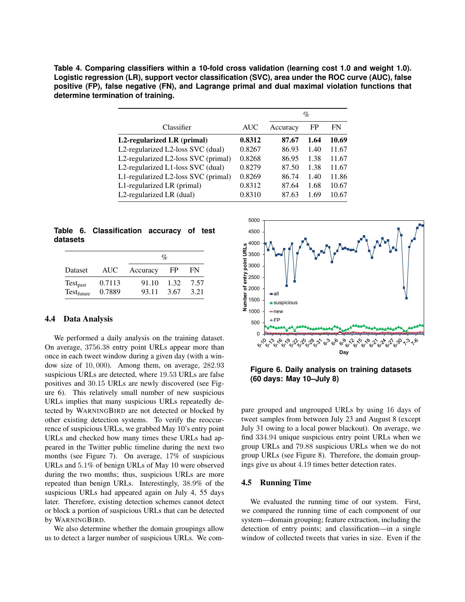**Table 4. Comparing classifiers within a 10-fold cross validation (learning cost 1.0 and weight 1.0). Logistic regression (LR), support vector classification (SVC), area under the ROC curve (AUC), false positive (FP), false negative (FN), and Lagrange primal and dual maximal violation functions that determine termination of training.**

|                                     |            | %        |      |       |
|-------------------------------------|------------|----------|------|-------|
| Classifier                          | <b>AUC</b> | Accuracy | FP   | FN    |
| L2-regularized LR (primal)          | 0.8312     | 87.67    | 1.64 | 10.69 |
| L2-regularized L2-loss SVC (dual)   | 0.8267     | 86.93    | 1.40 | 11.67 |
| L2-regularized L2-loss SVC (primal) | 0.8268     | 86.95    | 1.38 | 11.67 |
| L2-regularized L1-loss SVC (dual)   | 0.8279     | 87.50    | 1.38 | 11.67 |
| L1-regularized L2-loss SVC (primal) | 0.8269     | 86.74    | 1.40 | 11.86 |
| L1-regularized LR (primal)          | 0.8312     | 87.64    | 1.68 | 10.67 |
| L2-regularized LR (dual)            | 0.8310     | 87.63    | 1.69 | 10.67 |

**Table 6. Classification accuracy of test datasets**

|               |        |          | $\mathcal{O}_0$ |      |
|---------------|--------|----------|-----------------|------|
| Dataset       | AUC –  | Accuracy | FP              | FN   |
| $Test_{past}$ | 0.7113 | 91.10    | 1.32            | 7.57 |
| Testfuture    | 0.7889 | 93.11    | 3.67            | 3.21 |

#### 4.4 Data Analysis

We performed a daily analysis on the training dataset. On average, 3756.38 entry point URLs appear more than once in each tweet window during a given day (with a window size of 10, 000). Among them, on average, 282.93 suspicious URLs are detected, where 19.53 URLs are false positives and 30.15 URLs are newly discovered (see Figure 6). This relatively small number of new suspicious URLs implies that many suspicious URLs repeatedly detected by WARNINGBIRD are not detected or blocked by other existing detection systems. To verify the reoccurrence of suspicious URLs, we grabbed May 10's entry point URLs and checked how many times these URLs had appeared in the Twitter public timeline during the next two months (see Figure 7). On average, 17% of suspicious URLs and 5.1% of benign URLs of May 10 were observed during the two months; thus, suspicious URLs are more repeated than benign URLs. Interestingly, 38.9% of the suspicious URLs had appeared again on July 4, 55 days later. Therefore, existing detection schemes cannot detect or block a portion of suspicious URLs that can be detected by WARNINGBIRD.

We also determine whether the domain groupings allow us to detect a larger number of suspicious URLs. We com-



**Figure 6. Daily analysis on training datasets (60 days: May 10–July 8)**

pare grouped and ungrouped URLs by using 16 days of tweet samples from between July 23 and August 8 (except July 31 owing to a local power blackout). On average, we find 334.94 unique suspicious entry point URLs when we group URLs and 79.88 suspicious URLs when we do not group URLs (see Figure 8). Therefore, the domain groupings give us about 4.19 times better detection rates.

#### 4.5 Running Time

We evaluated the running time of our system. First, we compared the running time of each component of our system—domain grouping; feature extraction, including the detection of entry points; and classification—in a single window of collected tweets that varies in size. Even if the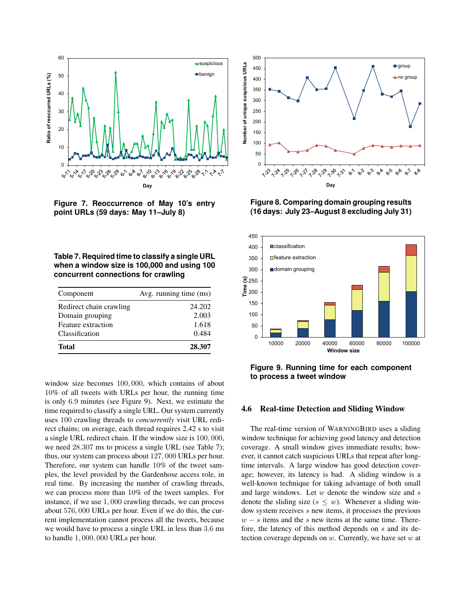

**Figure 7. Reoccurrence of May 10's entry point URLs (59 days: May 11–July 8)**

**Table 7. Required time to classify a single URL when a window size is 100,000 and using 100 concurrent connections for crawling**

| Component               | Avg. running time (ms) |
|-------------------------|------------------------|
| Redirect chain crawling | 24.202                 |
| Domain grouping         | 2.003                  |
| Feature extraction      | 1.618                  |
| Classification          | 0.484                  |
| <b>Total</b>            | 28.307                 |

window size becomes 100, 000, which contains of about 10% of all tweets with URLs per hour, the running time is only 6.9 minutes (see Figure 9). Next, we estimate the time required to classify a single URL. Our system currently uses 100 crawling threads to *concurrently* visit URL redirect chains; on average, each thread requires 2.42 s to visit a single URL redirect chain. If the window size is 100, 000, we need 28.307 ms to process a single URL (see Table 7); thus, our system can process about 127, 000 URLs per hour. Therefore, our system can handle 10% of the tweet samples, the level provided by the Gardenhose access role, in real time. By increasing the number of crawling threads, we can process more than 10% of the tweet samples. For instance, if we use 1, 000 crawling threads, we can process about 576, 000 URLs per hour. Even if we do this, the current implementation cannot process all the tweets, because we would have to process a single URL in less than 3.6 ms to handle 1, 000, 000 URLs per hour.



**Figure 8. Comparing domain grouping results (16 days: July 23–August 8 excluding July 31)**



**Figure 9. Running time for each component to process a tweet window**

## 4.6 Real-time Detection and Sliding Window

The real-time version of WARNINGBIRD uses a sliding window technique for achieving good latency and detection coverage. A small window gives immediate results; however, it cannot catch suspicious URLs that repeat after longtime intervals. A large window has good detection coverage; however, its latency is bad. A sliding window is a well-known technique for taking advantage of both small and large windows. Let  $w$  denote the window size and  $s$ denote the sliding size ( $s \leq w$ ). Whenever a sliding window system receives s new items, it processes the previous  $w - s$  items and the s new items at the same time. Therefore, the latency of this method depends on s and its detection coverage depends on  $w$ . Currently, we have set  $w$  at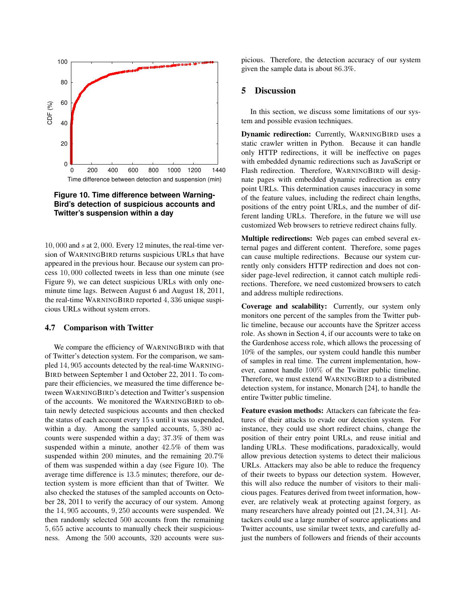

## **Figure 10. Time difference between Warning-Bird's detection of suspicious accounts and Twitter's suspension within a day**

 $10,000$  and s at  $2,000$ . Every 12 minutes, the real-time version of WARNINGBIRD returns suspicious URLs that have appeared in the previous hour. Because our system can process 10, 000 collected tweets in less than one minute (see Figure 9), we can detect suspicious URLs with only oneminute time lags. Between August 6 and August 18, 2011, the real-time WARNINGBIRD reported 4, 336 unique suspicious URLs without system errors.

#### 4.7 Comparison with Twitter

We compare the efficiency of WARNINGBIRD with that of Twitter's detection system. For the comparison, we sampled 14, 905 accounts detected by the real-time WARNING-BIRD between September 1 and October 22, 2011. To compare their efficiencies, we measured the time difference between WARNINGBIRD's detection and Twitter's suspension of the accounts. We monitored the WARNINGBIRD to obtain newly detected suspicious accounts and then checked the status of each account every 15 s until it was suspended, within a day. Among the sampled accounts, 5, 380 accounts were suspended within a day; 37.3% of them was suspended within a minute, another 42.5% of them was suspended within 200 minutes, and the remaining 20.7% of them was suspended within a day (see Figure 10). The average time difference is 13.5 minutes; therefore, our detection system is more efficient than that of Twitter. We also checked the statuses of the sampled accounts on October 28, 2011 to verify the accuracy of our system. Among the 14, 905 accounts, 9, 250 accounts were suspended. We then randomly selected 500 accounts from the remaining 5, 655 active accounts to manually check their suspiciousness. Among the 500 accounts, 320 accounts were suspicious. Therefore, the detection accuracy of our system given the sample data is about 86.3%.

### 5 Discussion

In this section, we discuss some limitations of our system and possible evasion techniques.

Dynamic redirection: Currently, WARNINGBIRD uses a static crawler written in Python. Because it can handle only HTTP redirections, it will be ineffective on pages with embedded dynamic redirections such as JavaScript or Flash redirection. Therefore, WARNINGBIRD will designate pages with embedded dynamic redirection as entry point URLs. This determination causes inaccuracy in some of the feature values, including the redirect chain lengths, positions of the entry point URLs, and the number of different landing URLs. Therefore, in the future we will use customized Web browsers to retrieve redirect chains fully.

Multiple redirections: Web pages can embed several external pages and different content. Therefore, some pages can cause multiple redirections. Because our system currently only considers HTTP redirection and does not consider page-level redirection, it cannot catch multiple redirections. Therefore, we need customized browsers to catch and address multiple redirections.

Coverage and scalability: Currently, our system only monitors one percent of the samples from the Twitter public timeline, because our accounts have the Spritzer access role. As shown in Section 4, if our accounts were to take on the Gardenhose access role, which allows the processing of 10% of the samples, our system could handle this number of samples in real time. The current implementation, however, cannot handle 100% of the Twitter public timeline. Therefore, we must extend WARNINGBIRD to a distributed detection system, for instance, Monarch [24], to handle the entire Twitter public timeline.

Feature evasion methods: Attackers can fabricate the features of their attacks to evade our detection system. For instance, they could use short redirect chains, change the position of their entry point URLs, and reuse initial and landing URLs. These modifications, paradoxically, would allow previous detection systems to detect their malicious URLs. Attackers may also be able to reduce the frequency of their tweets to bypass our detection system. However, this will also reduce the number of visitors to their malicious pages. Features derived from tweet information, however, are relatively weak at protecting against forgery, as many researchers have already pointed out [21, 24, 31]. Attackers could use a large number of source applications and Twitter accounts, use similar tweet texts, and carefully adjust the numbers of followers and friends of their accounts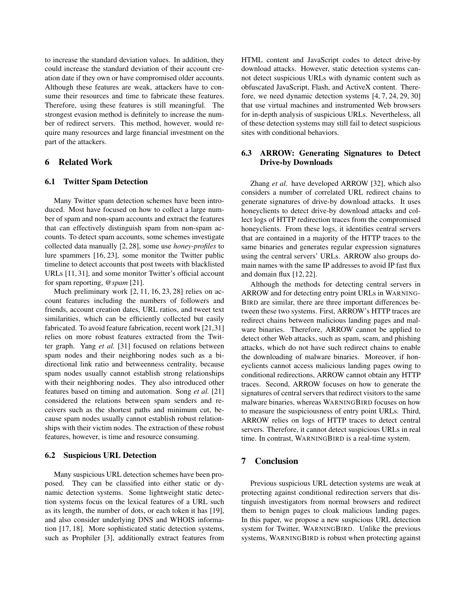to increase the standard deviation values. In addition, they could increase the standard deviation of their account creation date if they own or have compromised older accounts. Although these features are weak, attackers have to consume their resources and time to fabricate these features. Therefore, using these features is still meaningful. The strongest evasion method is definitely to increase the number of redirect servers. This method, however, would require many resources and large financial investment on the part of the attackers.

## 6 Related Work

#### 6.1 Twitter Spam Detection

Many Twitter spam detection schemes have been introduced. Most have focused on how to collect a large number of spam and non-spam accounts and extract the features that can effectively distinguish spam from non-spam accounts. To detect spam accounts, some schemes investigate collected data manually [2, 28], some use *honey-profiles* to lure spammers [16, 23], some monitor the Twitter public timeline to detect accounts that post tweets with blacklisted URLs [11, 31], and some monitor Twitter's official account for spam reporting, *@spam* [21].

Much preliminary work [2, 11, 16, 23, 28] relies on account features including the numbers of followers and friends, account creation dates, URL ratios, and tweet text similarities, which can be efficiently collected but easily fabricated. To avoid feature fabrication, recent work [21,31] relies on more robust features extracted from the Twitter graph. Yang *et al.* [31] focused on relations between spam nodes and their neighboring nodes such as a bidirectional link ratio and betweenness centrality, because spam nodes usually cannot establish strong relationships with their neighboring nodes. They also introduced other features based on timing and automation. Song *et al.* [21] considered the relations between spam senders and receivers such as the shortest paths and minimum cut, because spam nodes usually cannot establish robust relationships with their victim nodes. The extraction of these robust features, however, is time and resource consuming.

## 6.2 Suspicious URL Detection

Many suspicious URL detection schemes have been proposed. They can be classified into either static or dynamic detection systems. Some lightweight static detection systems focus on the lexical features of a URL such as its length, the number of dots, or each token it has [19], and also consider underlying DNS and WHOIS information [17, 18]. More sophisticated static detection systems, such as Prophiler [3], additionally extract features from HTML content and JavaScript codes to detect drive-by download attacks. However, static detection systems cannot detect suspicious URLs with dynamic content such as obfuscated JavaScript, Flash, and ActiveX content. Therefore, we need dynamic detection systems [4, 7, 24, 29, 30] that use virtual machines and instrumented Web browsers for in-depth analysis of suspicious URLs. Nevertheless, all of these detection systems may still fail to detect suspicious sites with conditional behaviors.

## 6.3 ARROW: Generating Signatures to Detect Drive-by Downloads

Zhang *et al.* have developed ARROW [32], which also considers a number of correlated URL redirect chains to generate signatures of drive-by download attacks. It uses honeyclients to detect drive-by download attacks and collect logs of HTTP redirection traces from the compromised honeyclients. From these logs, it identifies central servers that are contained in a majority of the HTTP traces to the same binaries and generates regular expression signatures using the central servers' URLs. ARROW also groups domain names with the same IP addresses to avoid IP fast flux and domain flux [12, 22].

Although the methods for detecting central servers in ARROW and for detecting entry point URLs in WARNING-BIRD are similar, there are three important differences between these two systems. First, ARROW's HTTP traces are redirect chains between malicious landing pages and malware binaries. Therefore, ARROW cannot be applied to detect other Web attacks, such as spam, scam, and phishing attacks, which do not have such redirect chains to enable the downloading of malware binaries. Moreover, if honeyclients cannot access malicious landing pages owing to conditional redirections, ARROW cannot obtain any HTTP traces. Second, ARROW focuses on how to generate the signatures of central servers that redirect visitors to the same malware binaries, whereas WARNINGBIRD focuses on how to measure the suspiciousness of entry point URLs. Third, ARROW relies on logs of HTTP traces to detect central servers. Therefore, it cannot detect suspicious URLs in real time. In contrast, WARNINGBIRD is a real-time system.

## 7 Conclusion

Previous suspicious URL detection systems are weak at protecting against conditional redirection servers that distinguish investigators from normal browsers and redirect them to benign pages to cloak malicious landing pages. In this paper, we propose a new suspicious URL detection system for Twitter, WARNINGBIRD. Unlike the previous systems, WARNINGBIRD is robust when protecting against